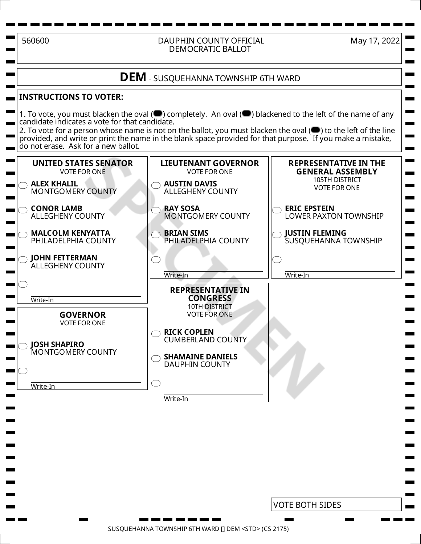## 560600 DAUPHIN COUNTY OFFICIAL DEMOCRATIC BALLOT

May 17, 2022

## **DEM** - SUSQUEHANNA TOWNSHIP 6TH WARD

## **INSTRUCTIONS TO VOTER:**

1. To vote, you must blacken the oval  $(\blacksquare)$  completely. An oval  $(\blacksquare)$  blackened to the left of the name of any candidate indicates a vote for that candidate.

2. To vote for a person whose name is not on the ballot, you must blacken the oval  $(\blacksquare)$  to the left of the line provided, and write or print the name in the blank space provided for that purpose. If you make a mistake, do not erase. Ask for a new ballot.



VOTE BOTH SIDES